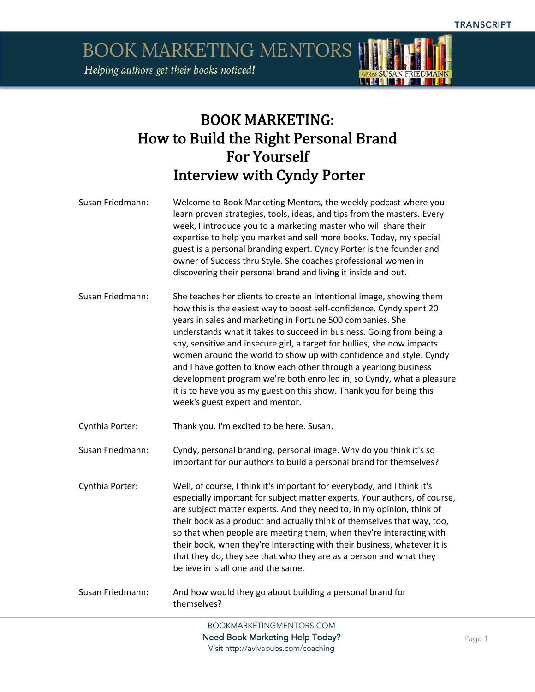

## BOOK MARKETING: How to Build the Right Personal Brand For Yourself Interview with Cyndy Porter

| Susan Friedmann: | Welcome to Book Marketing Mentors, the weekly podcast where you         |
|------------------|-------------------------------------------------------------------------|
|                  | learn proven strategies, tools, ideas, and tips from the masters. Every |
|                  | week, I introduce you to a marketing master who will share their        |
|                  | expertise to help you market and sell more books. Today, my special     |
|                  | guest is a personal branding expert. Cyndy Porter is the founder and    |
|                  | owner of Success thru Style. She coaches professional women in          |
|                  | discovering their personal brand and living it inside and out.          |

Susan Friedmann: She teaches her clients to create an intentional image, showing them how this is the easiest way to boost self-confidence. Cyndy spent 20 years in sales and marketing in Fortune 500 companies. She understands what it takes to succeed in business. Going from being a shy, sensitive and insecure girl, a target for bullies, she now impacts women around the world to show up with confidence and style. Cyndy and I have gotten to know each other through a yearlong business development program we're both enrolled in, so Cyndy, what a pleasure it is to have you as my guest on this show. Thank you for being this week's guest expert and mentor.

Cynthia Porter: Thank you. I'm excited to be here. Susan.

Susan Friedmann: Cyndy, personal branding, personal image. Why do you think it's so important for our authors to build a personal brand for themselves?

Cynthia Porter: Well, of course, I think it's important for everybody, and I think it's especially important for subject matter experts. Your authors, of course, are subject matter experts. And they need to, in my opinion, think of their book as a product and actually think of themselves that way, too, so that when people are meeting them, when they're interacting with their book, when they're interacting with their business, whatever it is that they do, they see that who they are as a person and what they believe in is all one and the same.

Susan Friedmann: And how would they go about building a personal brand for themselves?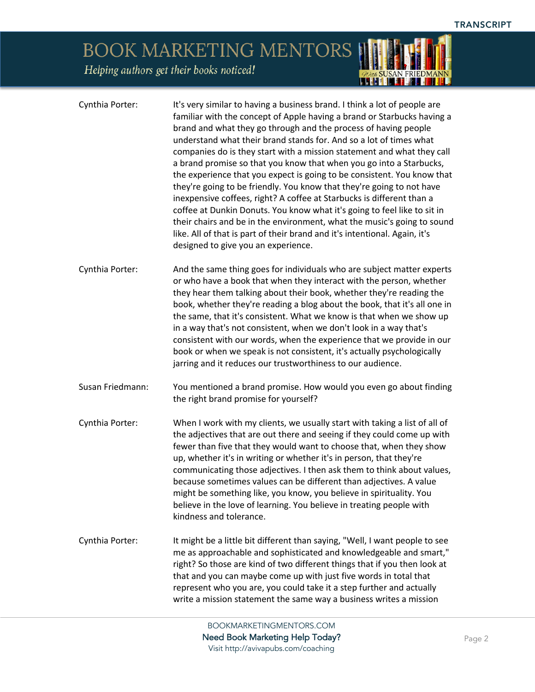*QUEE* SUSAN FRIEDMANN

## BOOK MARKETING MENTORS

Helping authors get their books noticed!

| Cynthia Porter:  | It's very similar to having a business brand. I think a lot of people are<br>familiar with the concept of Apple having a brand or Starbucks having a<br>brand and what they go through and the process of having people<br>understand what their brand stands for. And so a lot of times what<br>companies do is they start with a mission statement and what they call<br>a brand promise so that you know that when you go into a Starbucks,<br>the experience that you expect is going to be consistent. You know that<br>they're going to be friendly. You know that they're going to not have<br>inexpensive coffees, right? A coffee at Starbucks is different than a<br>coffee at Dunkin Donuts. You know what it's going to feel like to sit in<br>their chairs and be in the environment, what the music's going to sound<br>like. All of that is part of their brand and it's intentional. Again, it's<br>designed to give you an experience. |
|------------------|---------------------------------------------------------------------------------------------------------------------------------------------------------------------------------------------------------------------------------------------------------------------------------------------------------------------------------------------------------------------------------------------------------------------------------------------------------------------------------------------------------------------------------------------------------------------------------------------------------------------------------------------------------------------------------------------------------------------------------------------------------------------------------------------------------------------------------------------------------------------------------------------------------------------------------------------------------|
| Cynthia Porter:  | And the same thing goes for individuals who are subject matter experts<br>or who have a book that when they interact with the person, whether<br>they hear them talking about their book, whether they're reading the<br>book, whether they're reading a blog about the book, that it's all one in<br>the same, that it's consistent. What we know is that when we show up<br>in a way that's not consistent, when we don't look in a way that's<br>consistent with our words, when the experience that we provide in our<br>book or when we speak is not consistent, it's actually psychologically<br>jarring and it reduces our trustworthiness to our audience.                                                                                                                                                                                                                                                                                      |
| Susan Friedmann: | You mentioned a brand promise. How would you even go about finding<br>the right brand promise for yourself?                                                                                                                                                                                                                                                                                                                                                                                                                                                                                                                                                                                                                                                                                                                                                                                                                                             |
| Cynthia Porter:  | When I work with my clients, we usually start with taking a list of all of<br>the adjectives that are out there and seeing if they could come up with<br>fewer than five that they would want to choose that, when they show<br>up, whether it's in writing or whether it's in person, that they're<br>communicating those adjectives. I then ask them to think about values,<br>because sometimes values can be different than adjectives. A value<br>might be something like, you know, you believe in spirituality. You<br>believe in the love of learning. You believe in treating people with<br>kindness and tolerance.                                                                                                                                                                                                                                                                                                                           |
| Cynthia Porter:  | It might be a little bit different than saying, "Well, I want people to see<br>me as approachable and sophisticated and knowledgeable and smart,"<br>right? So those are kind of two different things that if you then look at<br>that and you can maybe come up with just five words in total that<br>represent who you are, you could take it a step further and actually<br>write a mission statement the same way a business writes a mission                                                                                                                                                                                                                                                                                                                                                                                                                                                                                                       |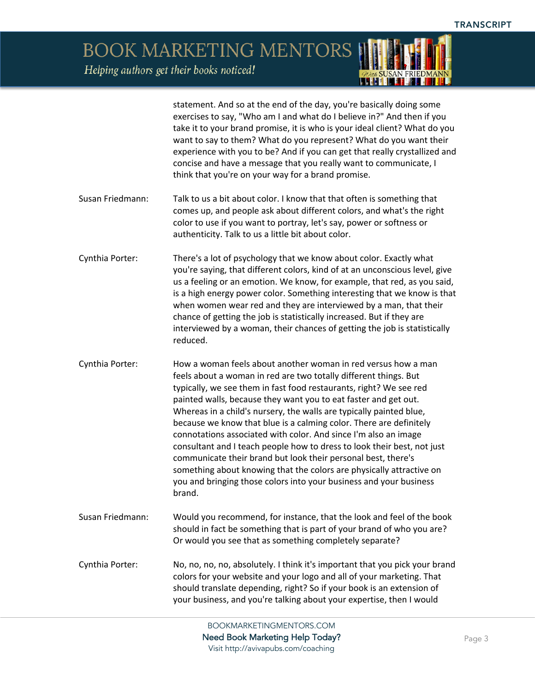> statement. And so at the end of the day, you're basically doing some exercises to say, "Who am I and what do I believe in?" And then if you take it to your brand promise, it is who is your ideal client? What do you want to say to them? What do you represent? What do you want their experience with you to be? And if you can get that really crystallized and concise and have a message that you really want to communicate, I think that you're on your way for a brand promise.

- Susan Friedmann: Talk to us a bit about color. I know that that often is something that comes up, and people ask about different colors, and what's the right color to use if you want to portray, let's say, power or softness or authenticity. Talk to us a little bit about color.
- Cynthia Porter: There's a lot of psychology that we know about color. Exactly what you're saying, that different colors, kind of at an unconscious level, give us a feeling or an emotion. We know, for example, that red, as you said, is a high energy power color. Something interesting that we know is that when women wear red and they are interviewed by a man, that their chance of getting the job is statistically increased. But if they are interviewed by a woman, their chances of getting the job is statistically reduced.
- Cynthia Porter: How a woman feels about another woman in red versus how a man feels about a woman in red are two totally different things. But typically, we see them in fast food restaurants, right? We see red painted walls, because they want you to eat faster and get out. Whereas in a child's nursery, the walls are typically painted blue, because we know that blue is a calming color. There are definitely connotations associated with color. And since I'm also an image consultant and I teach people how to dress to look their best, not just communicate their brand but look their personal best, there's something about knowing that the colors are physically attractive on you and bringing those colors into your business and your business brand.
- Susan Friedmann: Would you recommend, for instance, that the look and feel of the book should in fact be something that is part of your brand of who you are? Or would you see that as something completely separate?
- Cynthia Porter: No, no, no, no, absolutely. I think it's important that you pick your brand colors for your website and your logo and all of your marketing. That should translate depending, right? So if your book is an extension of your business, and you're talking about your expertise, then I would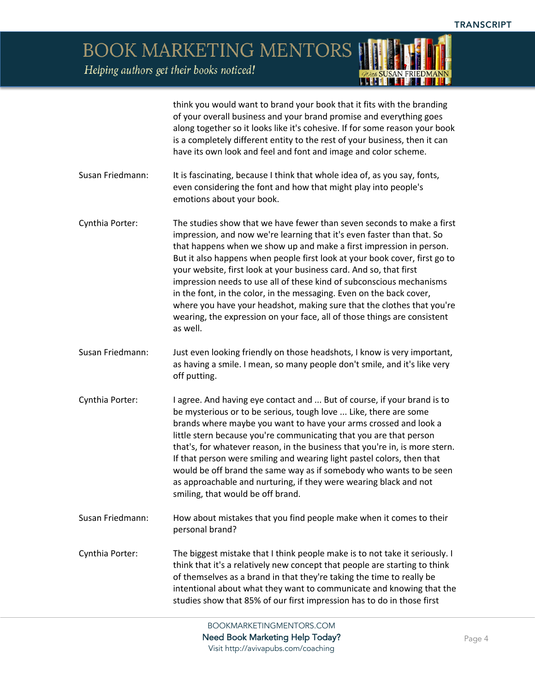*QUEE* SUSAN FRIEDMANN

BOOK MARKETING MENTORS Helping authors get their books noticed!

|                  | think you would want to brand your book that it fits with the branding<br>of your overall business and your brand promise and everything goes<br>along together so it looks like it's cohesive. If for some reason your book<br>is a completely different entity to the rest of your business, then it can<br>have its own look and feel and font and image and color scheme.                                                                                                                                                                                                                                                                                                                 |
|------------------|-----------------------------------------------------------------------------------------------------------------------------------------------------------------------------------------------------------------------------------------------------------------------------------------------------------------------------------------------------------------------------------------------------------------------------------------------------------------------------------------------------------------------------------------------------------------------------------------------------------------------------------------------------------------------------------------------|
| Susan Friedmann: | It is fascinating, because I think that whole idea of, as you say, fonts,<br>even considering the font and how that might play into people's<br>emotions about your book.                                                                                                                                                                                                                                                                                                                                                                                                                                                                                                                     |
| Cynthia Porter:  | The studies show that we have fewer than seven seconds to make a first<br>impression, and now we're learning that it's even faster than that. So<br>that happens when we show up and make a first impression in person.<br>But it also happens when people first look at your book cover, first go to<br>your website, first look at your business card. And so, that first<br>impression needs to use all of these kind of subconscious mechanisms<br>in the font, in the color, in the messaging. Even on the back cover,<br>where you have your headshot, making sure that the clothes that you're<br>wearing, the expression on your face, all of those things are consistent<br>as well. |
| Susan Friedmann: | Just even looking friendly on those headshots, I know is very important,<br>as having a smile. I mean, so many people don't smile, and it's like very<br>off putting.                                                                                                                                                                                                                                                                                                                                                                                                                                                                                                                         |
| Cynthia Porter:  | I agree. And having eye contact and  But of course, if your brand is to<br>be mysterious or to be serious, tough love  Like, there are some<br>brands where maybe you want to have your arms crossed and look a<br>little stern because you're communicating that you are that person<br>that's, for whatever reason, in the business that you're in, is more stern.<br>If that person were smiling and wearing light pastel colors, then that<br>would be off brand the same way as if somebody who wants to be seen<br>as approachable and nurturing, if they were wearing black and not<br>smiling, that would be off brand.                                                               |
| Susan Friedmann: | How about mistakes that you find people make when it comes to their<br>personal brand?                                                                                                                                                                                                                                                                                                                                                                                                                                                                                                                                                                                                        |
| Cynthia Porter:  | The biggest mistake that I think people make is to not take it seriously. I<br>think that it's a relatively new concept that people are starting to think<br>of themselves as a brand in that they're taking the time to really be<br>intentional about what they want to communicate and knowing that the<br>studies show that 85% of our first impression has to do in those first                                                                                                                                                                                                                                                                                                          |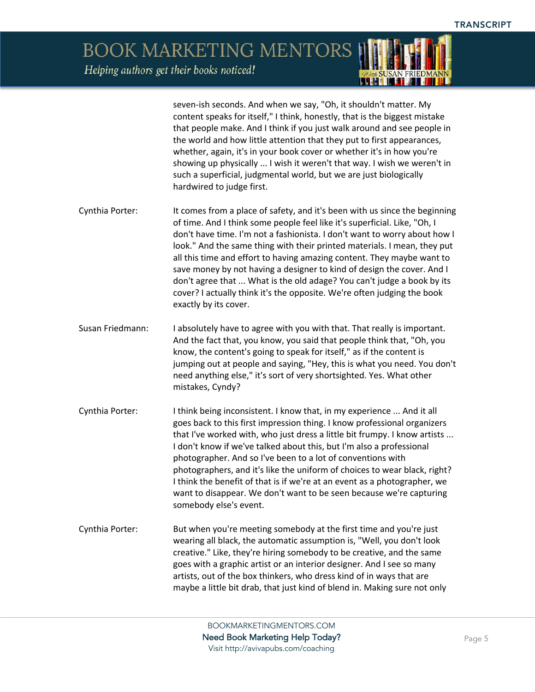> seven-ish seconds. And when we say, "Oh, it shouldn't matter. My content speaks for itself," I think, honestly, that is the biggest mistake that people make. And I think if you just walk around and see people in the world and how little attention that they put to first appearances, whether, again, it's in your book cover or whether it's in how you're showing up physically ... I wish it weren't that way. I wish we weren't in such a superficial, judgmental world, but we are just biologically hardwired to judge first.

- Cynthia Porter: It comes from a place of safety, and it's been with us since the beginning of time. And I think some people feel like it's superficial. Like, "Oh, I don't have time. I'm not a fashionista. I don't want to worry about how I look." And the same thing with their printed materials. I mean, they put all this time and effort to having amazing content. They maybe want to save money by not having a designer to kind of design the cover. And I don't agree that ... What is the old adage? You can't judge a book by its cover? I actually think it's the opposite. We're often judging the book exactly by its cover.
- Susan Friedmann: I absolutely have to agree with you with that. That really is important. And the fact that, you know, you said that people think that, "Oh, you know, the content's going to speak for itself," as if the content is jumping out at people and saying, "Hey, this is what you need. You don't need anything else," it's sort of very shortsighted. Yes. What other mistakes, Cyndy?
- Cynthia Porter: Ithink being inconsistent. I know that, in my experience ... And it all goes back to this first impression thing. I know professional organizers that I've worked with, who just dress a little bit frumpy. I know artists ... I don't know if we've talked about this, but I'm also a professional photographer. And so I've been to a lot of conventions with photographers, and it's like the uniform of choices to wear black, right? I think the benefit of that is if we're at an event as a photographer, we want to disappear. We don't want to be seen because we're capturing somebody else's event.
- Cynthia Porter: But when you're meeting somebody at the first time and you're just wearing all black, the automatic assumption is, "Well, you don't look creative." Like, they're hiring somebody to be creative, and the same goes with a graphic artist or an interior designer. And I see so many artists, out of the box thinkers, who dress kind of in ways that are maybe a little bit drab, that just kind of blend in. Making sure not only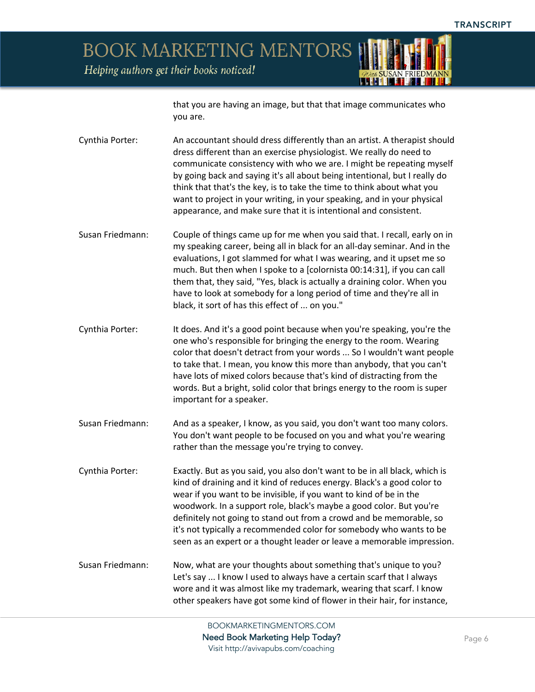

that you are having an image, but that that image communicates who you are.

Cynthia Porter: An accountant should dress differently than an artist. A therapist should dress different than an exercise physiologist. We really do need to communicate consistency with who we are. I might be repeating myself by going back and saying it's all about being intentional, but I really do think that that's the key, is to take the time to think about what you want to project in your writing, in your speaking, and in your physical appearance, and make sure that it is intentional and consistent.

Susan Friedmann: Couple of things came up for me when you said that. I recall, early on in my speaking career, being all in black for an all-day seminar. And in the evaluations, I got slammed for what I was wearing, and it upset me so much. But then when I spoke to a [colornista 00:14:31], if you can call them that, they said, "Yes, black is actually a draining color. When you have to look at somebody for a long period of time and they're all in black, it sort of has this effect of ... on you."

Cynthia Porter: It does. And it's a good point because when you're speaking, you're the one who's responsible for bringing the energy to the room. Wearing color that doesn't detract from your words ... So I wouldn't want people to take that. I mean, you know this more than anybody, that you can't have lots of mixed colors because that's kind of distracting from the words. But a bright, solid color that brings energy to the room is super important for a speaker.

Susan Friedmann: And as a speaker, I know, as you said, you don't want too many colors. You don't want people to be focused on you and what you're wearing rather than the message you're trying to convey.

Cynthia Porter: Exactly. But as you said, you also don't want to be in all black, which is kind of draining and it kind of reduces energy. Black's a good color to wear if you want to be invisible, if you want to kind of be in the woodwork. In a support role, black's maybe a good color. But you're definitely not going to stand out from a crowd and be memorable, so it's not typically a recommended color for somebody who wants to be seen as an expert or a thought leader or leave a memorable impression.

Susan Friedmann: Now, what are your thoughts about something that's unique to you? Let's say ... I know I used to always have a certain scarf that I always wore and it was almost like my trademark, wearing that scarf. I know other speakers have got some kind of flower in their hair, for instance,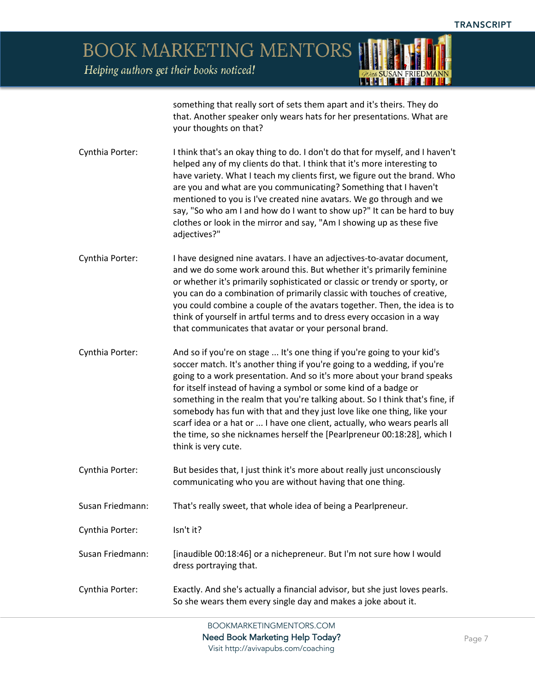**BOOK MARKETING MENTORS** 



Helping authors get their books noticed!

something that really sort of sets them apart and it's theirs. They do that. Another speaker only wears hats for her presentations. What are your thoughts on that?

- Cynthia Porter: I think that's an okay thing to do. I don't do that for myself, and I haven't helped any of my clients do that. I think that it's more interesting to have variety. What I teach my clients first, we figure out the brand. Who are you and what are you communicating? Something that I haven't mentioned to you is I've created nine avatars. We go through and we say, "So who am I and how do I want to show up?" It can be hard to buy clothes or look in the mirror and say, "Am I showing up as these five adjectives?"
- Cynthia Porter: I have designed nine avatars. I have an adjectives-to-avatar document, and we do some work around this. But whether it's primarily feminine or whether it's primarily sophisticated or classic or trendy or sporty, or you can do a combination of primarily classic with touches of creative, you could combine a couple of the avatars together. Then, the idea is to think of yourself in artful terms and to dress every occasion in a way that communicates that avatar or your personal brand.
- Cynthia Porter: And so if you're on stage ... It's one thing if you're going to your kid's soccer match. It's another thing if you're going to a wedding, if you're going to a work presentation. And so it's more about your brand speaks for itself instead of having a symbol or some kind of a badge or something in the realm that you're talking about. So I think that's fine, if somebody has fun with that and they just love like one thing, like your scarf idea or a hat or ... I have one client, actually, who wears pearls all the time, so she nicknames herself the [Pearlpreneur 00:18:28], which I think is very cute.
- Cynthia Porter: But besides that, I just think it's more about really just unconsciously communicating who you are without having that one thing.
- Susan Friedmann: That's really sweet, that whole idea of being a Pearlpreneur.
- Cynthia Porter: Isn't it?
- Susan Friedmann: [inaudible 00:18:46] or a nichepreneur. But I'm not sure how I would dress portraying that.
- Cynthia Porter: Exactly. And she's actually a financial advisor, but she just loves pearls. So she wears them every single day and makes a joke about it.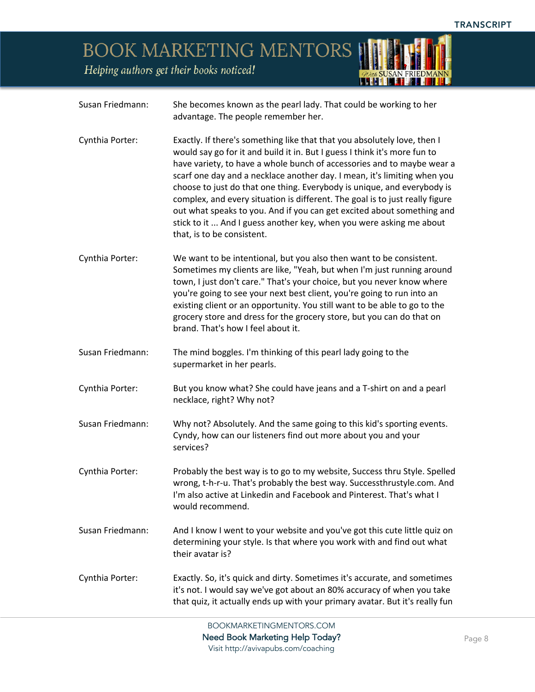## **BOOK MARKETING MENTORS**

Susan Friedmann: She becomes known as the pearl lady. That could be working to her



Helping authors get their books noticed!

BOOKMARKETINGMENTORS.COM Need Book Marketing Help Today? Visit http://avivapubs.com/coaching advantage. The people remember her. Cynthia Porter: Exactly. If there's something like that that you absolutely love, then I would say go for it and build it in. But I guess I think it's more fun to have variety, to have a whole bunch of accessories and to maybe wear a scarf one day and a necklace another day. I mean, it's limiting when you choose to just do that one thing. Everybody is unique, and everybody is complex, and every situation is different. The goal is to just really figure out what speaks to you. And if you can get excited about something and stick to it ... And I guess another key, when you were asking me about that, is to be consistent. Cynthia Porter: We want to be intentional, but you also then want to be consistent. Sometimes my clients are like, "Yeah, but when I'm just running around town, I just don't care." That's your choice, but you never know where you're going to see your next best client, you're going to run into an existing client or an opportunity. You still want to be able to go to the grocery store and dress for the grocery store, but you can do that on brand. That's how I feel about it. Susan Friedmann: The mind boggles. I'm thinking of this pearl lady going to the supermarket in her pearls. Cynthia Porter: But you know what? She could have jeans and a T-shirt on and a pearl necklace, right? Why not? Susan Friedmann: Why not? Absolutely. And the same going to this kid's sporting events. Cyndy, how can our listeners find out more about you and your services? Cynthia Porter: Probably the best way is to go to my website, Success thru Style. Spelled wrong, t-h-r-u. That's probably the best way. Successthrustyle.com. And I'm also active at Linkedin and Facebook and Pinterest. That's what I would recommend. Susan Friedmann: And I know I went to your website and you've got this cute little quiz on determining your style. Is that where you work with and find out what their avatar is? Cynthia Porter: Exactly. So, it's quick and dirty. Sometimes it's accurate, and sometimes it's not. I would say we've got about an 80% accuracy of when you take that quiz, it actually ends up with your primary avatar. But it's really fun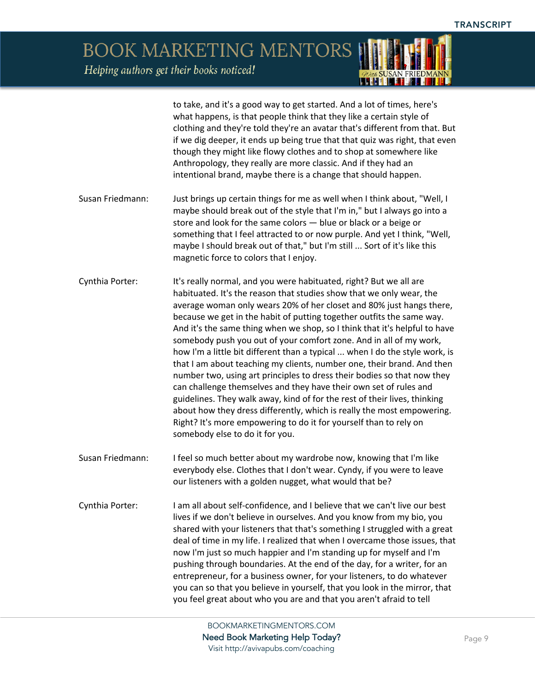> to take, and it's a good way to get started. And a lot of times, here's what happens, is that people think that they like a certain style of clothing and they're told they're an avatar that's different from that. But if we dig deeper, it ends up being true that that quiz was right, that even though they might like flowy clothes and to shop at somewhere like Anthropology, they really are more classic. And if they had an intentional brand, maybe there is a change that should happen.

- Susan Friedmann: Just brings up certain things for me as well when I think about, "Well, I maybe should break out of the style that I'm in," but I always go into a store and look for the same colors — blue or black or a beige or something that I feel attracted to or now purple. And yet I think, "Well, maybe I should break out of that," but I'm still ... Sort of it's like this magnetic force to colors that I enjoy.
- Cynthia Porter: It's really normal, and you were habituated, right? But we all are habituated. It's the reason that studies show that we only wear, the average woman only wears 20% of her closet and 80% just hangs there, because we get in the habit of putting together outfits the same way. And it's the same thing when we shop, so I think that it's helpful to have somebody push you out of your comfort zone. And in all of my work, how I'm a little bit different than a typical ... when I do the style work, is that I am about teaching my clients, number one, their brand. And then number two, using art principles to dress their bodies so that now they can challenge themselves and they have their own set of rules and guidelines. They walk away, kind of for the rest of their lives, thinking about how they dress differently, which is really the most empowering. Right? It's more empowering to do it for yourself than to rely on somebody else to do it for you.
- Susan Friedmann: I feel so much better about my wardrobe now, knowing that I'm like everybody else. Clothes that I don't wear. Cyndy, if you were to leave our listeners with a golden nugget, what would that be?
- Cynthia Porter: I am all about self-confidence, and I believe that we can't live our best lives if we don't believe in ourselves. And you know from my bio, you shared with your listeners that that's something I struggled with a great deal of time in my life. I realized that when I overcame those issues, that now I'm just so much happier and I'm standing up for myself and I'm pushing through boundaries. At the end of the day, for a writer, for an entrepreneur, for a business owner, for your listeners, to do whatever you can so that you believe in yourself, that you look in the mirror, that you feel great about who you are and that you aren't afraid to tell